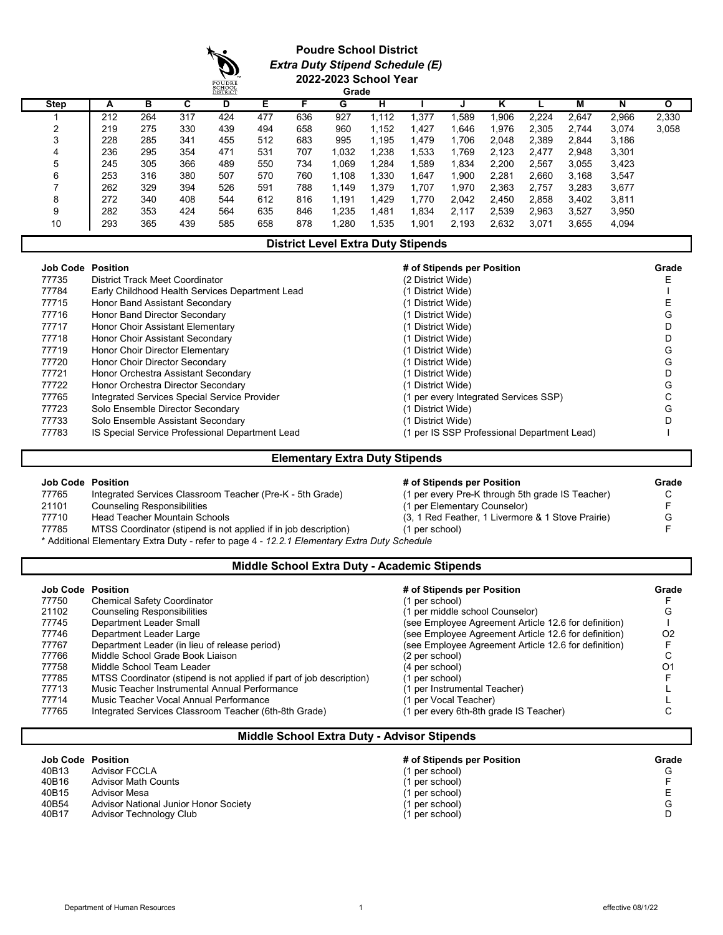### **Poudre School District** *Extra Duty Stipend Schedule (E)* **2022-2023 School Year**

|             |     |     |     | DISTRICT |     |     | Grade |       |        |       |       |       |       |       |       |
|-------------|-----|-----|-----|----------|-----|-----|-------|-------|--------|-------|-------|-------|-------|-------|-------|
| <b>Step</b> | A   | в   | C   | D        | Е   | Е   | G     | н     |        |       | Κ     |       | М     | N     | Ο     |
|             | 212 | 264 | 317 | 424      | 477 | 636 | 927   | 1.112 | ,377   | .589  | ,906  | 2.224 | 2.647 | 2,966 | 2,330 |
| ີ           | 219 | 275 | 330 | 439      | 494 | 658 | 960   | 1.152 | .427   | 1,646 | .976  | 2.305 | 2.744 | 3,074 | 3,058 |
|             | 228 | 285 | 341 | 455      | 512 | 683 | 995   | 1,195 | 1,479  | 1,706 | 2,048 | 2,389 | 2,844 | 3,186 |       |
| 4           | 236 | 295 | 354 | 471      | 531 | 707 | 1,032 | 1,238 | 1,533  | 1,769 | 2,123 | 2.477 | 2,948 | 3,301 |       |
| 5           | 245 | 305 | 366 | 489      | 550 | 734 | 069   | .284  | .589   | 1,834 | 2,200 | 2,567 | 3,055 | 3,423 |       |
| 6           | 253 | 316 | 380 | 507      | 570 | 760 | 1.108 | 1,330 | 1,647  | 1,900 | 2.281 | 2.660 | 3.168 | 3,547 |       |
|             | 262 | 329 | 394 | 526      | 591 | 788 | 1.149 | 1,379 | 1,707  | 1,970 | 2,363 | 2,757 | 3,283 | 3,677 |       |
| 8           | 272 | 340 | 408 | 544      | 612 | 816 | 1,191 | .429  | 1,770  | 2,042 | 2,450 | 2,858 | 3.402 | 3,811 |       |
| 9           | 282 | 353 | 424 | 564      | 635 | 846 | 1,235 | .481  | 1,834  | 2,117 | 2.539 | 2,963 | 3.527 | 3,950 |       |
| 10          | 293 | 365 | 439 | 585      | 658 | 878 | 1,280 | .535  | 901. ا | 2,193 | 2,632 | 3,071 | 3,655 | 4,094 |       |

### **District Level Extra Duty Stipends**

| Job Code | <b>Position</b>                                 | # of Stipends per Position                  | Grade |
|----------|-------------------------------------------------|---------------------------------------------|-------|
| 77735    | District Track Meet Coordinator                 | (2 District Wide)                           |       |
| 77784    | Early Childhood Health Services Department Lead | (1 District Wide)                           |       |
| 77715    | Honor Band Assistant Secondary                  | (1 District Wide)                           |       |
| 77716    | Honor Band Director Secondary                   | (1 District Wide)                           | G     |
| 77717    | Honor Choir Assistant Elementary                | (1 District Wide)                           |       |
| 77718    | Honor Choir Assistant Secondary                 | (1 District Wide)                           |       |
| 77719    | Honor Choir Director Elementary                 | (1 District Wide)                           | G     |
| 77720    | Honor Choir Director Secondary                  | (1 District Wide)                           | G     |
| 77721    | Honor Orchestra Assistant Secondary             | (1 District Wide)                           |       |
| 77722    | Honor Orchestra Director Secondary              | (1 District Wide)                           | G     |
| 77765    | Integrated Services Special Service Provider    | (1 per every Integrated Services SSP)       |       |
| 77723    | Solo Ensemble Director Secondary                | (1 District Wide)                           | G     |
| 77733    | Solo Ensemble Assistant Secondary               | (1 District Wide)                           |       |
| 77783    | IS Special Service Professional Department Lead | (1 per IS SSP Professional Department Lead) |       |

#### **Elementary Extra Duty Stipends**

| <b>Job Code Position</b> |                                                           | # of Stipends per Position                       | Grade |
|--------------------------|-----------------------------------------------------------|--------------------------------------------------|-------|
| 77765                    | Integrated Services Classroom Teacher (Pre-K - 5th Grade) | (1 per every Pre-K through 5th grade IS Teacher) |       |
| $\sim$                   |                                                           |                                                  |       |

21101 Counseling Responsibilities (2009)<br>21101 Counseling Responsibilities (1 per Elementary Counselor) (2009)<br>217710 Head Teacher Mountain Schools (3.1 Red Feather, 1 Livermore & 1 Stove Prairie)

| 77710 |  | Head Teacher Mountain Schools |  |
|-------|--|-------------------------------|--|
|       |  |                               |  |

| 77785 |  | MTSS Coordinator (stipend is not applied if in job description) |  | (1 per school) |  |
|-------|--|-----------------------------------------------------------------|--|----------------|--|
|-------|--|-----------------------------------------------------------------|--|----------------|--|

\* Additional Elementary Extra Duty - refer to page 4 - *12.2.1 Elementary Extra Duty Schedule* 

# **Middle School Extra Duty - Academic Stipends**

| <b>Job Code Position</b> |                                                                      | # of Stipends per Position                           | Grade          |
|--------------------------|----------------------------------------------------------------------|------------------------------------------------------|----------------|
| 77750                    | <b>Chemical Safety Coordinator</b>                                   | (1 per school)                                       |                |
| 21102                    | <b>Counseling Responsibilities</b>                                   | (1 per middle school Counselor)                      |                |
| 77745                    | Department Leader Small                                              | (see Employee Agreement Article 12.6 for definition) |                |
| 77746                    | Department Leader Large                                              | (see Employee Agreement Article 12.6 for definition) | O <sub>2</sub> |
| 77767                    | Department Leader (in lieu of release period)                        | (see Employee Agreement Article 12.6 for definition) |                |
| 77766                    | Middle School Grade Book Liaison                                     | (2 per school)                                       |                |
| 77758                    | Middle School Team Leader                                            | (4 per school)                                       | Ω1             |
| 77785                    | MTSS Coordinator (stipend is not applied if part of job description) | (1 per school)                                       |                |
| 77713                    | Music Teacher Instrumental Annual Performance                        | (1 per Instrumental Teacher)                         |                |
| 77714                    | Music Teacher Vocal Annual Performance                               | (1 per Vocal Teacher)                                |                |
| 77765                    | Integrated Services Classroom Teacher (6th-8th Grade)                | 1 per every 6th-8th grade IS Teacher)                |                |

#### **Middle School Extra Duty - Advisor Stipends**

| <b>Job Code Position</b> |                                       | # of Stipends per Position | Grade |
|--------------------------|---------------------------------------|----------------------------|-------|
| 40B13                    | <b>Advisor FCCLA</b>                  | (1 per school)             |       |
| 40B16                    | <b>Advisor Math Counts</b>            | (1 per school)             |       |
| 40B15                    | Advisor Mesa                          | (1 per school)             |       |
| 40B54                    | Advisor National Junior Honor Society | (1 per school)             |       |
| 40B17                    | Advisor Technology Club               | (1 per school)             |       |

777 (1 per every Pre-K through 5th grade IS Teacher) C<br>(1 per Elementary Counselor) F

(3, 1 Red Feather, 1 Livermore & 1 Stove Prairie)<br>(1 per school)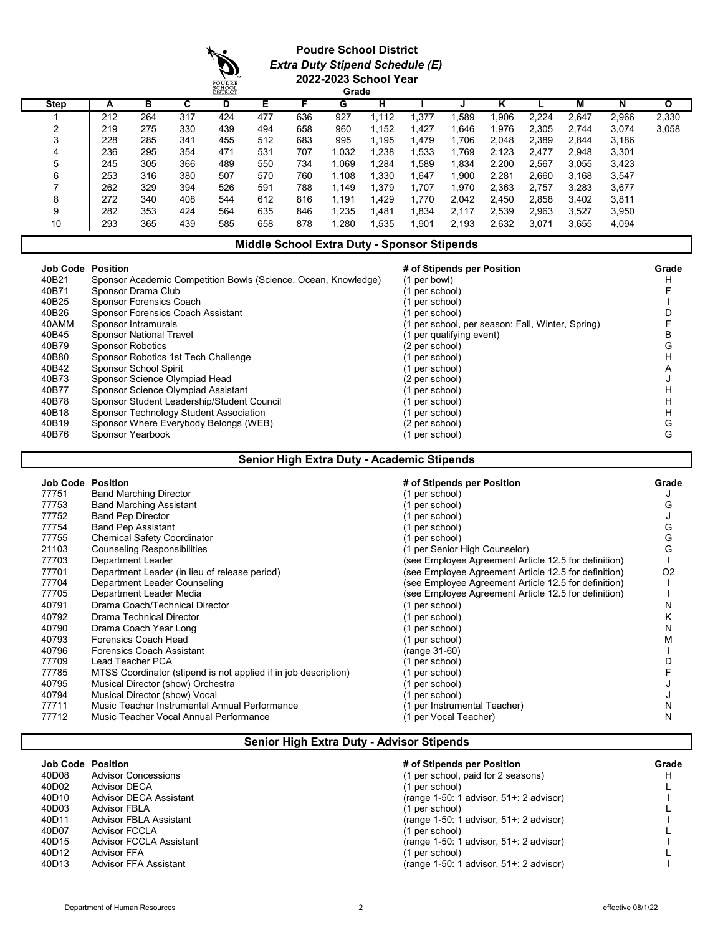### **Poudre School District** *Extra Duty Stipend Schedule (E)* **2022-2023 School Year**

|             |     |     |     | SCHOOL<br>DISTRICT |     |     | Grade |       |        |       |       |       |       |       |       |
|-------------|-----|-----|-----|--------------------|-----|-----|-------|-------|--------|-------|-------|-------|-------|-------|-------|
| <b>Step</b> | A   | в   | C   | D                  | Е   | F   | G     | н     |        |       | κ     |       | М     | N     | O     |
|             | 212 | 264 | 317 | 424                | 477 | 636 | 927   | 1.112 | .377   | .589  | ,906  | 2.224 | 2.647 | 2,966 | 2,330 |
| ◠           | 219 | 275 | 330 | 439                | 494 | 658 | 960   | 1.152 | .427   | .646  | 1,976 | 2.305 | 2.744 | 3,074 | 3,058 |
| 3           | 228 | 285 | 341 | 455                | 512 | 683 | 995   | 1.195 | 479. ا | 1,706 | 2,048 | 2,389 | 2,844 | 3,186 |       |
|             | 236 | 295 | 354 | 471                | 531 | 707 | 1,032 | .238  | .533   | 1.769 | 2,123 | 2.477 | 2.948 | 3,301 |       |
| 5           | 245 | 305 | 366 | 489                | 550 | 734 | l.069 | .284  | .589   | 1,834 | 2.200 | 2.567 | 3.055 | 3,423 |       |
| 6           | 253 | 316 | 380 | 507                | 570 | 760 | 1.108 | ,330  | 647ء   | ,900  | 2,281 | 2.660 | 3,168 | 3,547 |       |
|             | 262 | 329 | 394 | 526                | 591 | 788 | 1.149 | .379  | 1.707  | Ⅰ.970 | 2.363 | 2.757 | 3.283 | 3,677 |       |
| 8           | 272 | 340 | 408 | 544                | 612 | 816 | 1.191 | .429  | 1,770  | 2.042 | 2,450 | 2,858 | 3,402 | 3,811 |       |
| 9           | 282 | 353 | 424 | 564                | 635 | 846 | 1.235 | .481  | 1.834  | 2.117 | 2.539 | 2.963 | 3,527 | 3,950 |       |
| 10          | 293 | 365 | 439 | 585                | 658 | 878 | ,280  | .535  | 901.∣  | 2,193 | 2,632 | 3,071 | 3,655 | 4,094 |       |

### **Middle School Extra Duty - Sponsor Stipends**

|       | <b>Job Code Position</b>                                       | # of Stipends per Position                       | Grade |
|-------|----------------------------------------------------------------|--------------------------------------------------|-------|
| 40B21 | Sponsor Academic Competition Bowls (Science, Ocean, Knowledge) | (1 per bowl)                                     | н     |
| 40B71 | Sponsor Drama Club                                             | (1 per school)                                   |       |
| 40B25 | Sponsor Forensics Coach                                        | (1 per school)                                   |       |
| 40B26 | Sponsor Forensics Coach Assistant                              | (1 per school)                                   |       |
| 40AMM | Sponsor Intramurals                                            | (1 per school, per season: Fall, Winter, Spring) |       |
| 40B45 | <b>Sponsor National Travel</b>                                 | (1 per qualifying event)                         | B     |
| 40B79 | <b>Sponsor Robotics</b>                                        | (2 per school)                                   | G     |
| 40B80 | Sponsor Robotics 1st Tech Challenge                            | (1 per school)                                   | н     |
| 40B42 | <b>Sponsor School Spirit</b>                                   | (1 per school)                                   | А     |
| 40B73 | Sponsor Science Olympiad Head                                  | (2 per school)                                   |       |
| 40B77 | Sponsor Science Olympiad Assistant                             | (1 per school)                                   | н     |
| 40B78 | Sponsor Student Leadership/Student Council                     | (1 per school)                                   | н     |
| 40B18 | Sponsor Technology Student Association                         | (1 per school)                                   | н     |
| 40B19 | Sponsor Where Everybody Belongs (WEB)                          | (2 per school)                                   | G     |
| 40B76 | Sponsor Yearbook                                               | (1 per school)                                   | G     |

### **Senior High Extra Duty - Academic Stipends**

| <b>Job Code Position</b> |                                                                 | # of Stipends per Position                           | Grade          |
|--------------------------|-----------------------------------------------------------------|------------------------------------------------------|----------------|
| 77751                    | <b>Band Marching Director</b>                                   | (1 per school)                                       |                |
| 77753                    | <b>Band Marching Assistant</b>                                  | (1 per school)                                       | G              |
| 77752                    | <b>Band Pep Director</b>                                        | (1 per school)                                       |                |
| 77754                    | <b>Band Pep Assistant</b>                                       | (1 per school)                                       | G              |
| 77755                    | <b>Chemical Safety Coordinator</b>                              | (1 per school)                                       | G              |
| 21103                    | <b>Counseling Responsibilities</b>                              | (1 per Senior High Counselor)                        | G              |
| 77703                    | Department Leader                                               | (see Employee Agreement Article 12.5 for definition) |                |
| 77701                    | Department Leader (in lieu of release period)                   | (see Employee Agreement Article 12.5 for definition) | O <sub>2</sub> |
| 77704                    | Department Leader Counseling                                    | (see Employee Agreement Article 12.5 for definition) |                |
| 77705                    | Department Leader Media                                         | (see Employee Agreement Article 12.5 for definition) |                |
| 40791                    | Drama Coach/Technical Director                                  | (1 per school)                                       | N              |
| 40792                    | Drama Technical Director                                        | (1 per school)                                       | κ              |
| 40790                    | Drama Coach Year Long                                           | (1 per school)                                       | N              |
| 40793                    | Forensics Coach Head                                            | (1 per school)                                       | м              |
| 40796                    | <b>Forensics Coach Assistant</b>                                | (range 31-60)                                        |                |
| 77709                    | Lead Teacher PCA                                                | (1 per school)                                       |                |
| 77785                    | MTSS Coordinator (stipend is not applied if in job description) | (1 per school)                                       |                |
| 40795                    | Musical Director (show) Orchestra                               | (1 per school)                                       |                |
| 40794                    | Musical Director (show) Vocal                                   | (1 per school)                                       |                |
| 77711                    | Music Teacher Instrumental Annual Performance                   | (1 per Instrumental Teacher)                         | N              |
| 77712                    | Music Teacher Vocal Annual Performance                          | (1 per Vocal Teacher)                                | N              |

# **Senior High Extra Duty - Advisor Stipends**

| <b>Job Code Position</b> |                                | # of Stipends per Position                | Grade |
|--------------------------|--------------------------------|-------------------------------------------|-------|
| 40D08                    | <b>Advisor Concessions</b>     | (1 per school, paid for 2 seasons)        | Н     |
| 40D02                    | <b>Advisor DECA</b>            | (1 per school)                            |       |
| 40D10                    | <b>Advisor DECA Assistant</b>  | (range $1-50:1$ advisor, $51+:2$ advisor) |       |
| 40D03                    | <b>Advisor FBLA</b>            | (1 per school)                            |       |
| 40D11                    | <b>Advisor FBLA Assistant</b>  | (range $1-50:1$ advisor, $51+:2$ advisor) |       |
| 40D07                    | <b>Advisor FCCLA</b>           | (1 per school)                            |       |
| 40D15                    | <b>Advisor FCCLA Assistant</b> | (range $1-50:1$ advisor, $51+:2$ advisor) |       |
| 40D12                    | Advisor FFA                    | (1 per school)                            |       |
| 40D13                    | Advisor FFA Assistant          | (range $1-50:1$ advisor, $51+:2$ advisor) |       |